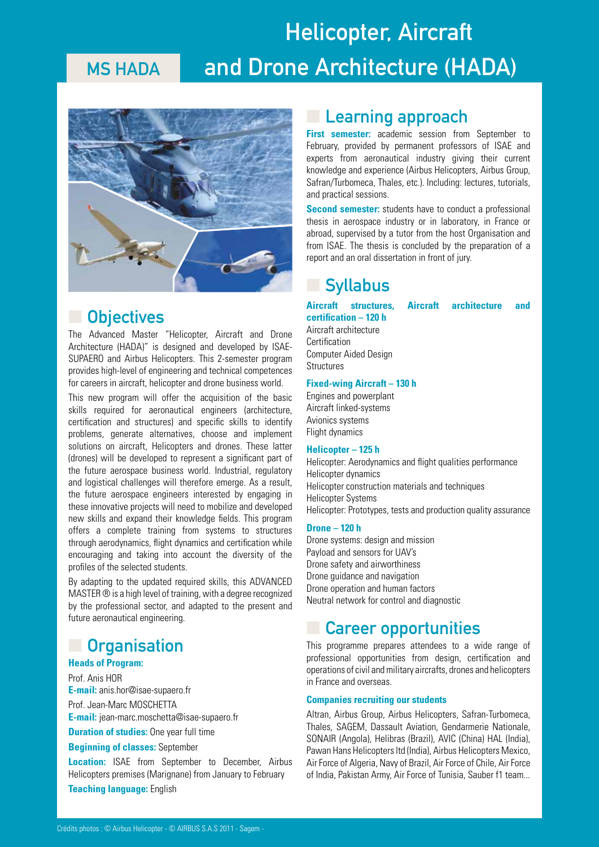## **MS HADA Helicopter, Aircraft and Drone Architecture (HADA)**



### ■ **Objectives**

The Advanced Master "Helicopter, Aircraft and Drone Architecture (HADA)" is designed and developed by ISAE-SUPAERO and Airbus Helicopters. This 2-semester program provides high-level of engineering and technical competences for careers in aircraft, helicopter and drone business world.

This new program will offer the acquisition of the basic skills required for aeronautical engineers (architecture, certification and structures) and specific skills to identify problems, generate alternatives, choose and implement solutions on aircraft, Helicopters and drones. These latter (drones) will be developed to represent a significant part of the future aerospace business world. Industrial, regulatory and logistical challenges will therefore emerge. As a result, the future aerospace engineers interested by engaging in these innovative projects will need to mobilize and developed new skills and expand their knowledge fields. This program offers a complete training from systems to structures through aerodynamics, flight dynamics and certification while encouraging and taking into account the diversity of the profiles of the selected students.

By adapting to the updated required skills, this ADVANCED MASTER ® is a high level of training, with a degree recognized by the professional sector, and adapted to the present and future aeronautical engineering.

### ■ **Organisation**

#### **Heads of Program:**

Prof. Anis HOR **E-mail:** anis.hor@isae-supaero.fr

Prof. Jean-Marc MOSCHETTA **E-mail:** jean-marc.moschetta@isae-supaero.fr

**Duration of studies:** One year full time

**Beginning of classes:** September

**Location:** ISAE from September to December, Airbus Helicopters premises (Marignane) from January to February **Teaching language:** English

### **Learning approach**

**First semester:** academic session from September to February, provided by permanent professors of ISAE and experts from aeronautical industry giving their current knowledge and experience (Airbus Helicopters, Airbus Group, Safran/Turbomeca, Thales, etc.). Including: lectures, tutorials, and practical sessions.

**Second semester:** students have to conduct a professional thesis in aerospace industry or in laboratory, in France or abroad, supervised by a tutor from the host Organisation and from ISAE. The thesis is concluded by the preparation of a report and an oral dissertation in front of jury.

### ■ **Syllabus**

**certification – 120 h**

**Aircraft structures, Aircraft architecture and** 

### Aircraft architecture Certification Computer Aided Design **Structures**

#### **Fixed-wing Aircraft – 130 h**

Engines and powerplant Aircraft linked-systems Avionics systems Flight dynamics

#### **Helicopter – 125 h**

Helicopter: Aerodynamics and flight qualities performance Helicopter dynamics Helicopter construction materials and techniques Helicopter Systems Helicopter: Prototypes, tests and production quality assurance

#### **Drone – 120 h**

Drone systems: design and mission Payload and sensors for UAV's Drone safety and airworthiness Drone guidance and navigation Drone operation and human factors Neutral network for control and diagnostic

### ■ **Career opportunities**

This programme prepares attendees to a wide range of professional opportunities from design, certification and operations of civil and military aircrafts, drones and helicopters in France and overseas.

#### **Companies recruiting our students**

Altran, Airbus Group, Airbus Helicopters, Safran-Turbomeca, Thales, SAGEM, Dassault Aviation, Gendarmerie Nationale, SONAIR (Angola), Helibras (Brazil), AVIC (China) HAL (India), Pawan Hans Helicopters ltd (India), Airbus Helicopters Mexico, Air Force of Algeria, Navy of Brazil, Air Force of Chile, Air Force of India, Pakistan Army, Air Force of Tunisia, Sauber f1 team...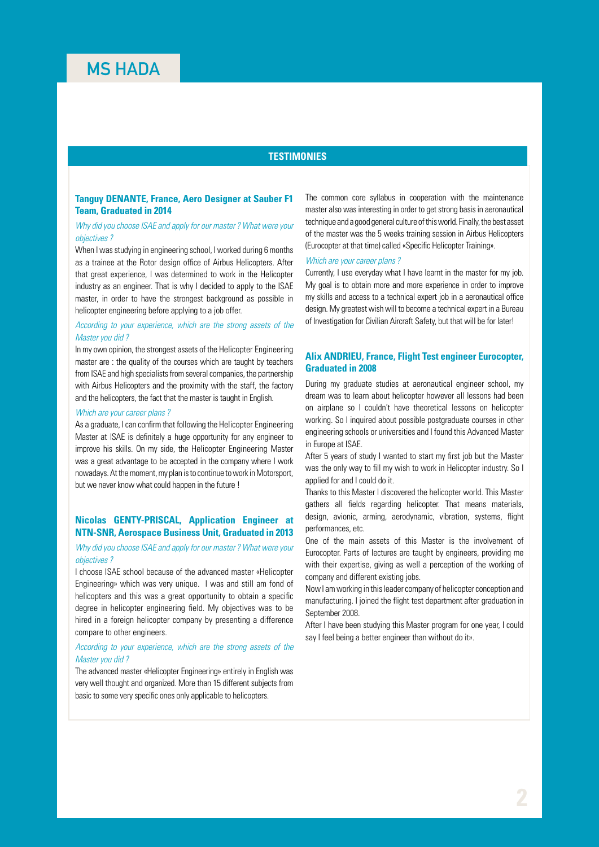#### **TESTIMONIES**

#### **Tanguy DENANTE, France, Aero Designer at Sauber F1 Team, Graduated in 2014**

#### *Why did you choose ISAE and apply for our master ? What were your objectives ?*

When I was studying in engineering school, I worked during 6 months as a trainee at the Rotor design office of Airbus Helicopters. After that great experience, I was determined to work in the Helicopter industry as an engineer. That is why I decided to apply to the ISAE master, in order to have the strongest background as possible in helicopter engineering before applying to a job offer.

#### *According to your experience, which are the strong assets of the Master you did ?*

In my own opinion, the strongest assets of the Helicopter Engineering master are : the quality of the courses which are taught by teachers from ISAE and high specialists from several companies, the partnership with Airbus Helicopters and the proximity with the staff, the factory and the helicopters, the fact that the master is taught in English.

#### *Which are your career plans ?*

As a graduate, I can confirm that following the Helicopter Engineering Master at ISAE is definitely a huge opportunity for any engineer to improve his skills. On my side, the Helicopter Engineering Master was a great advantage to be accepted in the company where I work nowadays. At the moment, my plan is to continue to work in Motorsport, but we never know what could happen in the future !

#### **Nicolas GENTY-PRISCAL, Application Engineer at NTN-SNR, Aerospace Business Unit, Graduated in 2013**

#### *Why did you choose ISAE and apply for our master ? What were your objectives ?*

I choose ISAE school because of the advanced master «Helicopter Engineering» which was very unique. I was and still am fond of helicopters and this was a great opportunity to obtain a specific degree in helicopter engineering field. My objectives was to be hired in a foreign helicopter company by presenting a difference compare to other engineers.

#### *According to your experience, which are the strong assets of the Master you did ?*

The advanced master «Helicopter Engineering» entirely in English was very well thought and organized. More than 15 different subjects from basic to some very specific ones only applicable to helicopters.

The common core syllabus in cooperation with the maintenance master also was interesting in order to get strong basis in aeronautical technique and a good general culture of this world. Finally, the best asset of the master was the 5 weeks training session in Airbus Helicopters (Eurocopter at that time) called «Specific Helicopter Training».

#### *Which are your career plans ?*

Currently, I use everyday what I have learnt in the master for my job. My goal is to obtain more and more experience in order to improve my skills and access to a technical expert job in a aeronautical office design. My greatest wish will to become a technical expert in a Bureau of Investigation for Civilian Aircraft Safety, but that will be for later!

#### **Alix ANDRIEU, France, Flight Test engineer Eurocopter, Graduated in 2008**

During my graduate studies at aeronautical engineer school, my dream was to learn about helicopter however all lessons had been on airplane so I couldn't have theoretical lessons on helicopter working. So I inquired about possible postgraduate courses in other engineering schools or universities and I found this Advanced Master in Europe at ISAE.

After 5 years of study I wanted to start my first job but the Master was the only way to fill my wish to work in Helicopter industry. So I applied for and I could do it.

Thanks to this Master I discovered the helicopter world. This Master gathers all fields regarding helicopter. That means materials, design, avionic, arming, aerodynamic, vibration, systems, flight performances, etc.

One of the main assets of this Master is the involvement of Eurocopter. Parts of lectures are taught by engineers, providing me with their expertise, giving as well a perception of the working of company and different existing jobs.

Now I am working in this leader company of helicopter conception and manufacturing. I joined the flight test department after graduation in September 2008.

After I have been studying this Master program for one year, I could say I feel being a better engineer than without do it».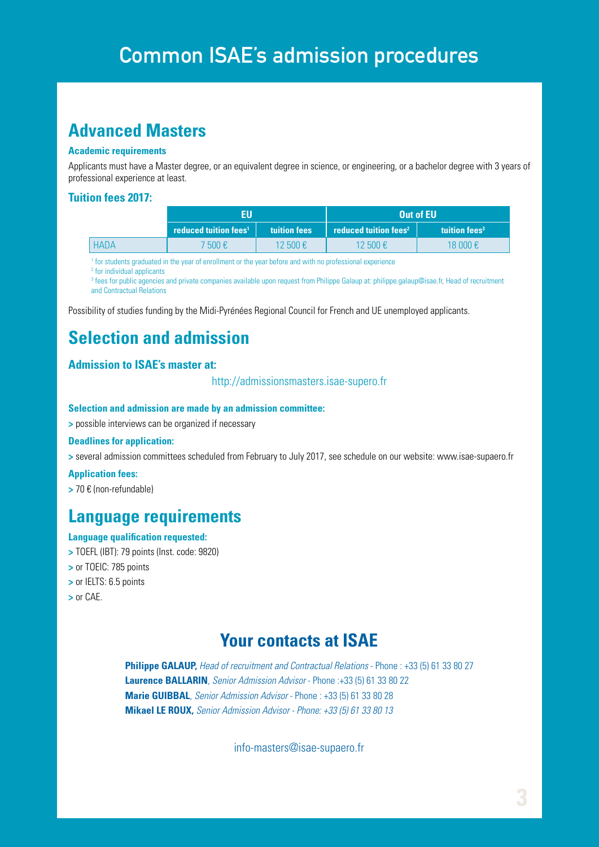### **Advanced Masters**

#### **Academic requirements**

Applicants must have a Master degree, or an equivalent degree in science, or engineering, or a bachelor degree with 3 years of professional experience at least.

#### **Tuition fees 2017:**

|             | FU                                |                               | Out of EU                               |                           |
|-------------|-----------------------------------|-------------------------------|-----------------------------------------|---------------------------|
|             | reduced tuition fees <sup>1</sup> | <b>tuition fees</b>           | <b>reduced tuition fees<sup>2</sup></b> | tuition fees <sup>3</sup> |
| <b>HADA</b> | 7 500 €                           | 12 500 $\text{\textsterling}$ | $12,500$ €                              | 18 000 €                  |

<sup>1</sup> for students graduated in the year of enrollment or the year before and with no professional experience

<sup>2</sup> for individual applicants

3 fees for public agencies and private companies available upon request from Philippe Galaup at: philippe.galaup@isae.fr, Head of recruitment and Contractual Relations

Possibility of studies funding by the Midi-Pyrénées Regional Council for French and UE unemployed applicants.

### **Selection and admission**

#### **Admission to ISAE's master at:**

http://admissionsmasters.isae-supero.fr

#### **Selection and admission are made by an admission committee:**

**>** possible interviews can be organized if necessary

#### **Deadlines for application:**

**>** several admission committees scheduled from February to July 2017, see schedule on our website: www.isae-supaero.fr

#### **Application fees:**

**>** 70 € (non-refundable)

### **Language requirements**

#### **Language qualification requested:**

- **>** TOEFL (IBT): 79 points (Inst. code: 9820)
- **>** or TOEIC: 785 points
- **>** or IELTS: 6.5 points
- **>** or CAE.

### **Your contacts at ISAE**

**Philippe GALAUP,** *Head of recruitment and Contractual Relations* - Phone : +33 (5) 61 33 80 27 **Laurence BALLARIN**, *Senior Admission Advisor* - Phone :+33 (5) 61 33 80 22 **Marie GUIBBAL**, *Senior Admission Advisor* - Phone : +33 (5) 61 33 80 28 **Mikael LE ROUX,** *Senior Admission Advisor - Phone: +33 (5) 61 33 80 13*

info-masters@isae-supaero.fr